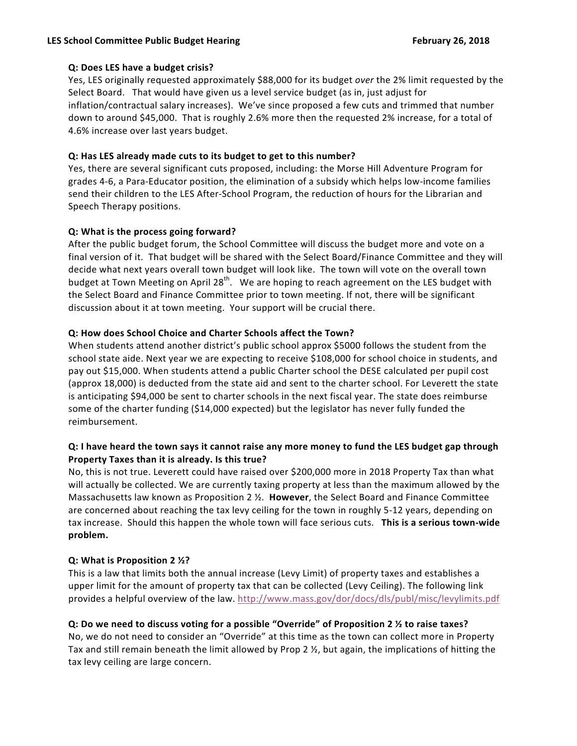#### **LES School Committee Public Budget Hearing February 26, 2018**

### **Q: Does LES have a budget crisis?**

Yes, LES originally requested approximately \$88,000 for its budget *over* the 2% limit requested by the Select Board. That would have given us a level service budget (as in, just adjust for inflation/contractual salary increases). We've since proposed a few cuts and trimmed that number down to around \$45,000. That is roughly 2.6% more then the requested 2% increase, for a total of 4.6% increase over last years budget.

## **Q:** Has LES already made cuts to its budget to get to this number?

Yes, there are several significant cuts proposed, including: the Morse Hill Adventure Program for grades 4-6, a Para-Educator position, the elimination of a subsidy which helps low-income families send their children to the LES After-School Program, the reduction of hours for the Librarian and Speech Therapy positions.

## **Q:** What is the process going forward?

After the public budget forum, the School Committee will discuss the budget more and vote on a final version of it. That budget will be shared with the Select Board/Finance Committee and they will decide what next years overall town budget will look like. The town will vote on the overall town budget at Town Meeting on April 28<sup>th</sup>. We are hoping to reach agreement on the LES budget with the Select Board and Finance Committee prior to town meeting. If not, there will be significant discussion about it at town meeting. Your support will be crucial there.

## **Q: How does School Choice and Charter Schools affect the Town?**

When students attend another district's public school approx \$5000 follows the student from the school state aide. Next year we are expecting to receive \$108,000 for school choice in students, and pay out \$15,000. When students attend a public Charter school the DESE calculated per pupil cost (approx 18,000) is deducted from the state aid and sent to the charter school. For Leverett the state is anticipating \$94,000 be sent to charter schools in the next fiscal year. The state does reimburse some of the charter funding (\$14,000 expected) but the legislator has never fully funded the reimbursement.

## **Q:** I have heard the town says it cannot raise any more money to fund the LES budget gap through Property Taxes than it is already. Is this true?

No, this is not true. Leverett could have raised over \$200,000 more in 2018 Property Tax than what will actually be collected. We are currently taxing property at less than the maximum allowed by the Massachusetts law known as Proposition 2 1/<sub>2</sub>. However, the Select Board and Finance Committee are concerned about reaching the tax levy ceiling for the town in roughly 5-12 years, depending on tax increase. Should this happen the whole town will face serious cuts. This is a serious town-wide **problem.**

### **Q:** What is Proposition 2 ½?

This is a law that limits both the annual increase (Levy Limit) of property taxes and establishes a upper limit for the amount of property tax that can be collected (Levy Ceiling). The following link provides a helpful overview of the law. http://www.mass.gov/dor/docs/dls/publ/misc/levylimits.pdf

## **Q:** Do we need to discuss voting for a possible "Override" of Proposition 2  $\frac{1}{2}$  to raise taxes?

No, we do not need to consider an "Override" at this time as the town can collect more in Property Tax and still remain beneath the limit allowed by Prop 2  $\frac{1}{2}$ , but again, the implications of hitting the tax levy ceiling are large concern.